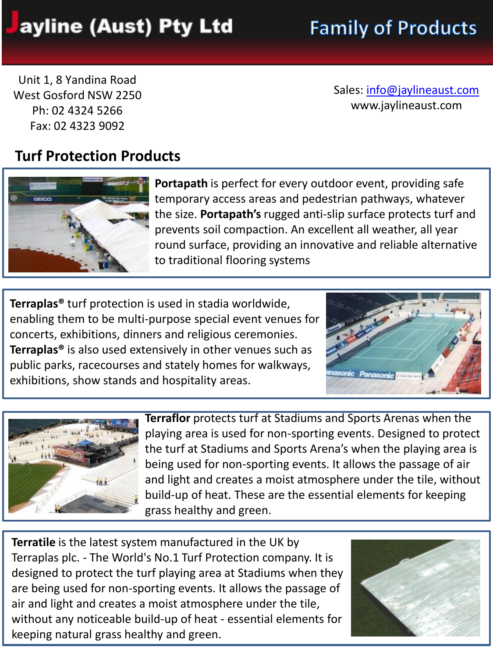## ayline (Aust) Pty Ltd

# **Family of Products**

Unit 1, 8 Yandina Road West Gosford NSW 2250 Ph: 02 4324 5266 Fax: 02 4323 9092

Sales: [info@jaylineaust.com](mailto:info@jaylineaust.com) www.jaylineaust.com

### **Turf Protection Products**



**Portapath** is perfect for every outdoor event, providing safe temporary access areas and pedestrian pathways, whatever the size. **Portapath's** rugged anti-slip surface protects turf and prevents soil compaction. An excellent all weather, all year round surface, providing an innovative and reliable alternative to traditional flooring systems

**Terraplas®** turf protection is used in stadia worldwide, enabling them to be multi-purpose special event venues for concerts, exhibitions, dinners and religious ceremonies. **Terraplas®** is also used extensively in other venues such as public parks, racecourses and stately homes for walkways, exhibitions, show stands and hospitality areas.





**Terraflor** protects turf at Stadiums and Sports Arenas when the playing area is used for non-sporting events. Designed to protect the turf at Stadiums and Sports Arena's when the playing area is being used for non-sporting events. It allows the passage of air and light and creates a moist atmosphere under the tile, without build-up of heat. These are the essential elements for keeping grass healthy and green.

**Terratile** is the latest system manufactured in the UK by Terraplas plc. - The World's No.1 Turf Protection company. It is designed to protect the turf playing area at Stadiums when they are being used for non-sporting events. It allows the passage of air and light and creates a moist atmosphere under the tile, without any noticeable build-up of heat - essential elements for keeping natural grass healthy and green.